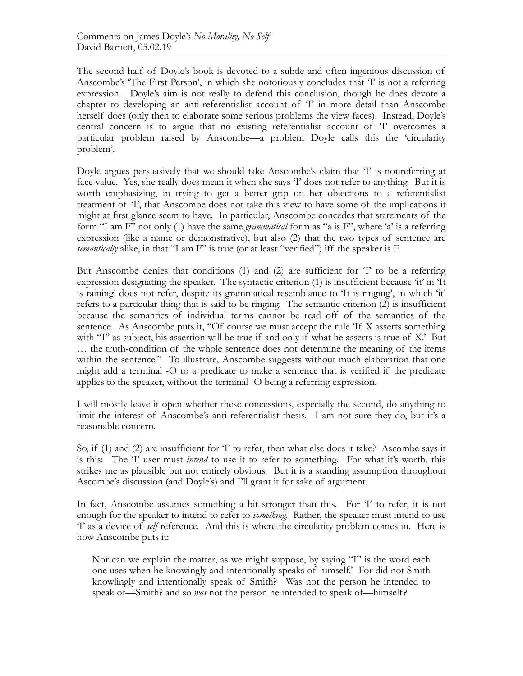The second half of Doyle's book is devoted to a subtle and often ingenious discussion of Anscombe's 'The First Person', in which she notoriously concludes that 'I' is not a referring expression. Doyle's aim is not really to defend this conclusion, though he does devote a chapter to developing an anti-referentialist account of 'I' in more detail than Anscombe herself does (only then to elaborate some serious problems the view faces). Instead, Doyle's central concern is to argue that no existing referentialist account of 'I' overcomes a particular problem raised by Anscombe—a problem Doyle calls this the 'circularity problem'.

Doyle argues persuasively that we should take Anscombe's claim that 'I' is nonreferring at face value. Yes, she really does mean it when she says T does not refer to anything. But it is worth emphasizing, in trying to get a better grip on her objections to a referentialist treatment of 'I', that Anscombe does not take this view to have some of the implications it might at first glance seem to have. In particular, Anscombe concedes that statements of the form "I am F" not only (1) have the same *grammatical* form as "a is F", where 'a' is a referring expression (like a name or demonstrative), but also (2) that the two types of sentence are *semantically* alike, in that "I am F" is true (or at least "verified") iff the speaker is F.

But Anscombe denies that conditions (1) and (2) are sufficient for 'I' to be a referring expression designating the speaker. The syntactic criterion (1) is insufficient because 'it' in 'It is raining' does not refer, despite its grammatical resemblance to 'It is ringing', in which 'it' refers to a particular thing that is said to be ringing. The semantic criterion (2) is insufficient because the semantics of individual terms cannot be read off of the semantics of the sentence. As Anscombe puts it, "Of course we must accept the rule 'If X asserts something with "I" as subject, his assertion will be true if and only if what he asserts is true of X.' But … the truth-condition of the whole sentence does not determine the meaning of the items within the sentence." To illustrate, Anscombe suggests without much elaboration that one might add a terminal -O to a predicate to make a sentence that is verified if the predicate applies to the speaker, without the terminal -O being a referring expression.

I will mostly leave it open whether these concessions, especially the second, do anything to limit the interest of Anscombe's anti-referentialist thesis. I am not sure they do, but it's a reasonable concern.

So, if (1) and (2) are insufficient for 'I' to refer, then what else does it take? Ascombe says it is this: The 'I' user must *intend* to use it to refer to something. For what it's worth, this strikes me as plausible but not entirely obvious. But it is a standing assumption throughout Ascombe's discussion (and Doyle's) and I'll grant it for sake of argument.

In fact, Anscombe assumes something a bit stronger than this. For 'I' to refer, it is not enough for the speaker to intend to refer to *something*. Rather, the speaker must intend to use 'I' as a device of *self*-reference. And this is where the circularity problem comes in. Here is how Anscombe puts it:

Nor can we explain the matter, as we might suppose, by saying "I" is the word each one uses when he knowingly and intentionally speaks of himself.' For did not Smith knowlingly and intentionally speak of Smith? Was not the person he intended to speak of—Smith? and so *was* not the person he intended to speak of—himself?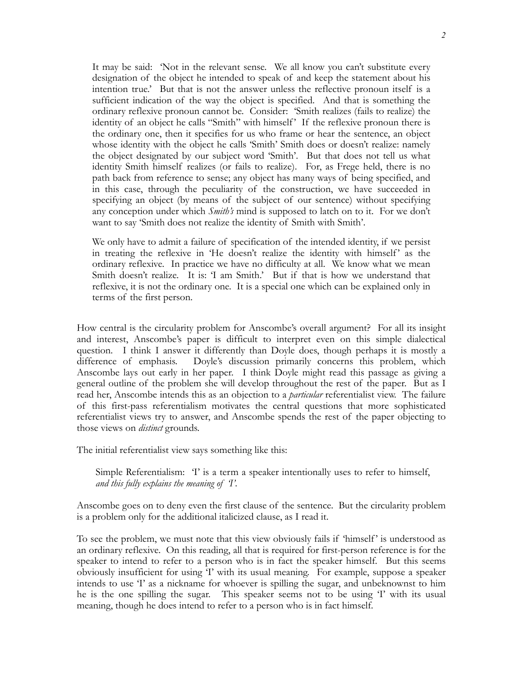It may be said: 'Not in the relevant sense. We all know you can't substitute every designation of the object he intended to speak of and keep the statement about his intention true.' But that is not the answer unless the reflective pronoun itself is a sufficient indication of the way the object is specified. And that is something the ordinary reflexive pronoun cannot be. Consider: 'Smith realizes (fails to realize) the identity of an object he calls "Smith" with himself' If the reflexive pronoun there is the ordinary one, then it specifies for us who frame or hear the sentence, an object whose identity with the object he calls 'Smith' Smith does or doesn't realize: namely the object designated by our subject word 'Smith'. But that does not tell us what identity Smith himself realizes (or fails to realize). For, as Frege held, there is no path back from reference to sense; any object has many ways of being specified, and in this case, through the peculiarity of the construction, we have succeeded in specifying an object (by means of the subject of our sentence) without specifying any conception under which *Smith's* mind is supposed to latch on to it. For we don't want to say 'Smith does not realize the identity of Smith with Smith'.

We only have to admit a failure of specification of the intended identity, if we persist in treating the reflexive in 'He doesn't realize the identity with himself' as the ordinary reflexive. In practice we have no difficulty at all. We know what we mean Smith doesn't realize. It is: 'I am Smith.' But if that is how we understand that reflexive, it is not the ordinary one. It is a special one which can be explained only in terms of the first person.

How central is the circularity problem for Anscombe's overall argument? For all its insight and interest, Anscombe's paper is difficult to interpret even on this simple dialectical question. I think I answer it differently than Doyle does, though perhaps it is mostly a difference of emphasis. Doyle's discussion primarily concerns this problem, which Anscombe lays out early in her paper. I think Doyle might read this passage as giving a general outline of the problem she will develop throughout the rest of the paper. But as I read her, Anscombe intends this as an objection to a *particular* referentialist view. The failure of this first-pass referentialism motivates the central questions that more sophisticated referentialist views try to answer, and Anscombe spends the rest of the paper objecting to those views on *distinct* grounds.

The initial referentialist view says something like this:

Simple Referentialism: 'I' is a term a speaker intentionally uses to refer to himself, *and this fully explains the meaning of 'I'*.

Anscombe goes on to deny even the first clause of the sentence. But the circularity problem is a problem only for the additional italicized clause, as I read it.

To see the problem, we must note that this view obviously fails if 'himself ' is understood as an ordinary reflexive. On this reading, all that is required for first-person reference is for the speaker to intend to refer to a person who is in fact the speaker himself. But this seems obviously insufficient for using 'I' with its usual meaning. For example, suppose a speaker intends to use 'I' as a nickname for whoever is spilling the sugar, and unbeknownst to him he is the one spilling the sugar. This speaker seems not to be using 'I' with its usual meaning, though he does intend to refer to a person who is in fact himself.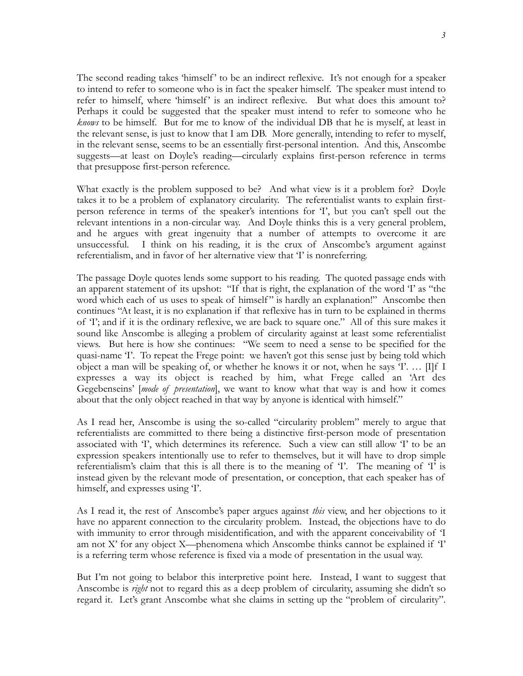The second reading takes 'himself' to be an indirect reflexive. It's not enough for a speaker to intend to refer to someone who is in fact the speaker himself. The speaker must intend to refer to himself, where 'himself' is an indirect reflexive. But what does this amount to? Perhaps it could be suggested that the speaker must intend to refer to someone who he *knows* to be himself. But for me to know of the individual DB that he is myself, at least in the relevant sense, is just to know that I am DB. More generally, intending to refer to myself, in the relevant sense, seems to be an essentially first-personal intention. And this, Anscombe suggests—at least on Doyle's reading—circularly explains first-person reference in terms that presuppose first-person reference.

What exactly is the problem supposed to be? And what view is it a problem for? Doyle takes it to be a problem of explanatory circularity. The referentialist wants to explain firstperson reference in terms of the speaker's intentions for 'I', but you can't spell out the relevant intentions in a non-circular way. And Doyle thinks this is a very general problem, and he argues with great ingenuity that a number of attempts to overcome it are unsuccessful. I think on his reading, it is the crux of Anscombe's argument against referentialism, and in favor of her alternative view that 'I' is nonreferring.

The passage Doyle quotes lends some support to his reading. The quoted passage ends with an apparent statement of its upshot: "If that is right, the explanation of the word 'I' as "the word which each of us uses to speak of himself" is hardly an explanation!" Anscombe then continues "At least, it is no explanation if that reflexive has in turn to be explained in therms of 'I'; and if it is the ordinary reflexive, we are back to square one." All of this sure makes it sound like Anscombe is alleging a problem of circularity against at least some referentialist views. But here is how she continues: "We seem to need a sense to be specified for the quasi-name 'I'. To repeat the Frege point: we haven't got this sense just by being told which object a man will be speaking of, or whether he knows it or not, when he says  $T$ . ...  $\prod f I$ expresses a way its object is reached by him, what Frege called an 'Art des Gegebenseins' [*mode of presentation*], we want to know what that way is and how it comes about that the only object reached in that way by anyone is identical with himself."

As I read her, Anscombe is using the so-called "circularity problem" merely to argue that referentialists are committed to there being a distinctive first-person mode of presentation associated with 'I', which determines its reference. Such a view can still allow 'I' to be an expression speakers intentionally use to refer to themselves, but it will have to drop simple referentialism's claim that this is all there is to the meaning of 'I'. The meaning of 'I' is instead given by the relevant mode of presentation, or conception, that each speaker has of himself, and expresses using 'I'.

As I read it, the rest of Anscombe's paper argues against *this* view, and her objections to it have no apparent connection to the circularity problem. Instead, the objections have to do with immunity to error through misidentification, and with the apparent conceivability of 'I am not X' for any object X—phenomena which Anscombe thinks cannot be explained if 'I' is a referring term whose reference is fixed via a mode of presentation in the usual way.

But I'm not going to belabor this interpretive point here. Instead, I want to suggest that Anscombe is *right* not to regard this as a deep problem of circularity, assuming she didn't so regard it. Let's grant Anscombe what she claims in setting up the "problem of circularity".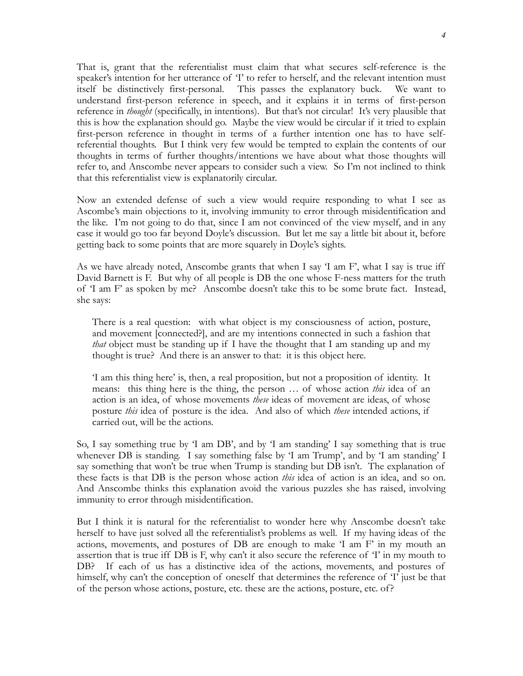That is, grant that the referentialist must claim that what secures self-reference is the speaker's intention for her utterance of 'I' to refer to herself, and the relevant intention must itself be distinctively first-personal. This passes the explanatory buck. We want to understand first-person reference in speech, and it explains it in terms of first-person reference in *thought* (specifically, in intentions). But that's not circular! It's very plausible that this is how the explanation should go. Maybe the view would be circular if it tried to explain first-person reference in thought in terms of a further intention one has to have selfreferential thoughts. But I think very few would be tempted to explain the contents of our thoughts in terms of further thoughts/intentions we have about what those thoughts will refer to, and Anscombe never appears to consider such a view. So I'm not inclined to think that this referentialist view is explanatorily circular.

Now an extended defense of such a view would require responding to what I see as Ascombe's main objections to it, involving immunity to error through misidentification and the like. I'm not going to do that, since I am not convinced of the view myself, and in any case it would go too far beyond Doyle's discussion. But let me say a little bit about it, before getting back to some points that are more squarely in Doyle's sights.

As we have already noted, Anscombe grants that when I say 'I am F', what I say is true iff David Barnett is F. But why of all people is DB the one whose F-ness matters for the truth of 'I am F' as spoken by me? Anscombe doesn't take this to be some brute fact. Instead, she says:

There is a real question: with what object is my consciousness of action, posture, and movement [connected?], and are my intentions connected in such a fashion that *that* object must be standing up if I have the thought that I am standing up and my thought is true? And there is an answer to that: it is this object here.

'I am this thing here' is, then, a real proposition, but not a proposition of identity. It means: this thing here is the thing, the person … of whose action *this* idea of an action is an idea, of whose movements *these* ideas of movement are ideas, of whose posture *this* idea of posture is the idea. And also of which *these* intended actions, if carried out, will be the actions.

So, I say something true by 'I am DB', and by 'I am standing' I say something that is true whenever DB is standing. I say something false by 'I am Trump', and by 'I am standing' I say something that won't be true when Trump is standing but DB isn't. The explanation of these facts is that DB is the person whose action *this* idea of action is an idea, and so on. And Anscombe thinks this explanation avoid the various puzzles she has raised, involving immunity to error through misidentification.

But I think it is natural for the referentialist to wonder here why Anscombe doesn't take herself to have just solved all the referentialist's problems as well. If my having ideas of the actions, movements, and postures of DB are enough to make 'I am F' in my mouth an assertion that is true iff DB is F, why can't it also secure the reference of 'I' in my mouth to DB? If each of us has a distinctive idea of the actions, movements, and postures of himself, why can't the conception of oneself that determines the reference of 'I' just be that of the person whose actions, posture, etc. these are the actions, posture, etc. of?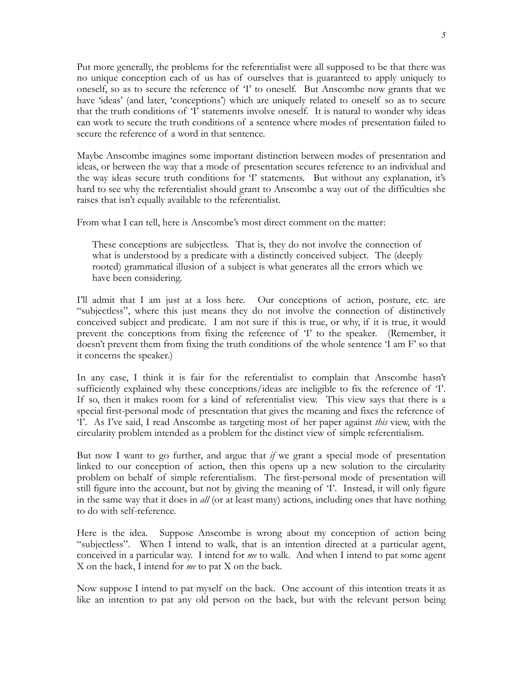Put more generally, the problems for the referentialist were all supposed to be that there was no unique conception each of us has of ourselves that is guaranteed to apply uniquely to oneself, so as to secure the reference of 'I' to oneself. But Anscombe now grants that we have 'ideas' (and later, 'conceptions') which are uniquely related to oneself so as to secure that the truth conditions of 'I' statements involve oneself. It is natural to wonder why ideas can work to secure the truth conditions of a sentence where modes of presentation failed to secure the reference of a word in that sentence.

Maybe Anscombe imagines some important distinction between modes of presentation and ideas, or between the way that a mode of presentation secures reference to an individual and the way ideas secure truth conditions for 'I' statements. But without any explanation, it's hard to see why the referentialist should grant to Anscombe a way out of the difficulties she raises that isn't equally available to the referentialist.

From what I can tell, here is Anscombe's most direct comment on the matter:

These conceptions are subjectless. That is, they do not involve the connection of what is understood by a predicate with a distinctly conceived subject. The (deeply rooted) grammatical illusion of a subject is what generates all the errors which we have been considering.

I'll admit that I am just at a loss here. Our conceptions of action, posture, etc. are "subjectless", where this just means they do not involve the connection of distinctively conceived subject and predicate. I am not sure if this is true, or why, if it is true, it would prevent the conceptions from fixing the reference of 'I' to the speaker. (Remember, it doesn't prevent them from fixing the truth conditions of the whole sentence 'I am F' so that it concerns the speaker.)

In any case, I think it is fair for the referentialist to complain that Anscombe hasn't sufficiently explained why these conceptions/ideas are ineligible to fix the reference of 'I'. If so, then it makes room for a kind of referentialist view. This view says that there is a special first-personal mode of presentation that gives the meaning and fixes the reference of 'I'. As I've said, I read Anscombe as targeting most of her paper against *this* view, with the circularity problem intended as a problem for the distinct view of simple referentialism.

But now I want to go further, and argue that *if* we grant a special mode of presentation linked to our conception of action, then this opens up a new solution to the circularity problem on behalf of simple referentialism. The first-personal mode of presentation will still figure into the account, but not by giving the meaning of 'I'. Instead, it will only figure in the same way that it does in *all* (or at least many) actions, including ones that have nothing to do with self-reference.

Here is the idea. Suppose Anscombe is wrong about my conception of action being "subjectless". When I intend to walk, that is an intention directed at a particular agent, conceived in a particular way. I intend for *me* to walk. And when I intend to pat some agent X on the back, I intend for *me* to pat X on the back.

Now suppose I intend to pat myself on the back. One account of this intention treats it as like an intention to pat any old person on the back, but with the relevant person being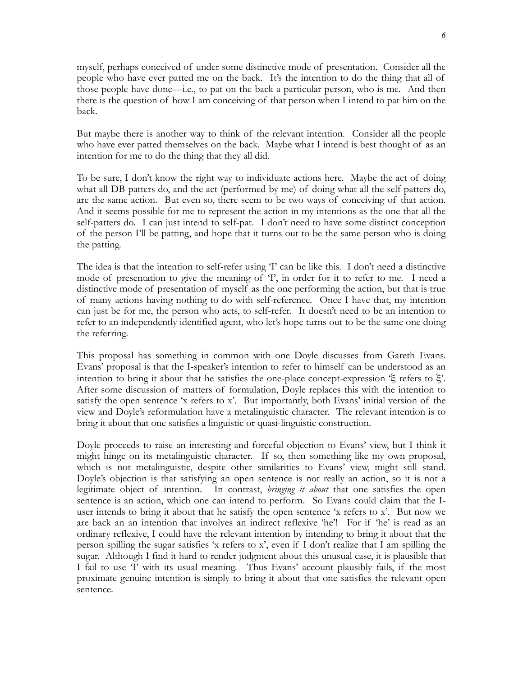myself, perhaps conceived of under some distinctive mode of presentation. Consider all the people who have ever patted me on the back. It's the intention to do the thing that all of those people have done—i.e., to pat on the back a particular person, who is me. And then there is the question of how I am conceiving of that person when I intend to pat him on the back.

But maybe there is another way to think of the relevant intention. Consider all the people who have ever patted themselves on the back. Maybe what I intend is best thought of as an intention for me to do the thing that they all did.

To be sure, I don't know the right way to individuate actions here. Maybe the act of doing what all DB-patters do, and the act (performed by me) of doing what all the self-patters do, are the same action. But even so, there seem to be two ways of conceiving of that action. And it seems possible for me to represent the action in my intentions as the one that all the self-patters do. I can just intend to self-pat. I don't need to have some distinct conception of the person I'll be patting, and hope that it turns out to be the same person who is doing the patting.

The idea is that the intention to self-refer using T can be like this. I don't need a distinctive mode of presentation to give the meaning of T, in order for it to refer to me. I need a distinctive mode of presentation of myself as the one performing the action, but that is true of many actions having nothing to do with self-reference. Once I have that, my intention can just be for me, the person who acts, to self-refer. It doesn't need to be an intention to refer to an independently identified agent, who let's hope turns out to be the same one doing the referring.

This proposal has something in common with one Doyle discusses from Gareth Evans. Evans' proposal is that the I-speaker's intention to refer to himself can be understood as an intention to bring it about that he satisfies the one-place concept-expression 'ξ refers to ξ'. After some discussion of matters of formulation, Doyle replaces this with the intention to satisfy the open sentence 'x refers to x'. But importantly, both Evans' initial version of the view and Doyle's reformulation have a metalinguistic character. The relevant intention is to bring it about that one satisfies a linguistic or quasi-linguistic construction.

Doyle proceeds to raise an interesting and forceful objection to Evans' view, but I think it might hinge on its metalinguistic character. If so, then something like my own proposal, which is not metalinguistic, despite other similarities to Evans' view, might still stand. Doyle's objection is that satisfying an open sentence is not really an action, so it is not a legitimate object of intention. In contrast, *bringing it about* that one satisfies the open sentence is an action, which one can intend to perform. So Evans could claim that the Iuser intends to bring it about that he satisfy the open sentence 'x refers to x'. But now we are back an an intention that involves an indirect reflexive 'he'! For if 'he' is read as an ordinary reflexive, I could have the relevant intention by intending to bring it about that the person spilling the sugar satisfies 'x refers to x', even if I don't realize that I am spilling the sugar. Although I find it hard to render judgment about this unusual case, it is plausible that I fail to use 'I' with its usual meaning. Thus Evans' account plausibly fails, if the most proximate genuine intention is simply to bring it about that one satisfies the relevant open sentence.